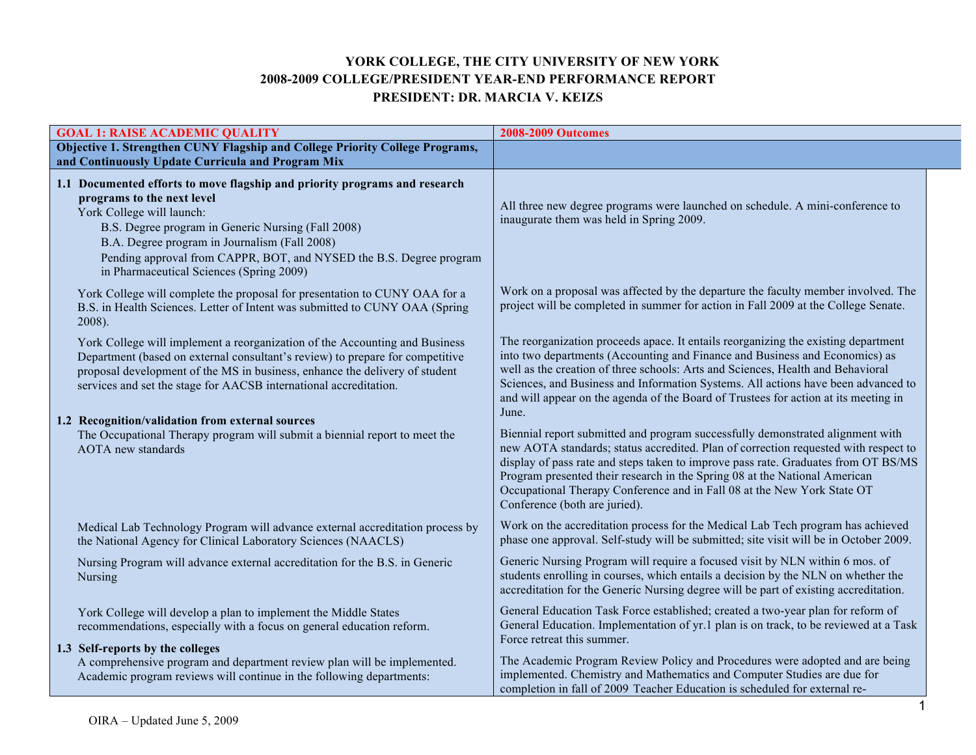## **YORK COLLEGE, THE CITY UNIVERSITY OF NEW YORK 2008-2009 COLLEGE/PRESIDENT YEAR-END PERFORMANCE REPORT PRESIDENT: DR. MARCIA V. KEIZS**

| <b>GOAL 1: RAISE ACADEMIC QUALITY</b>                                                                                                                                                                                                                                                                                                                           | <b>2008-2009 Outcomes</b>                                                                                                                                                                                                                                                                                                                                                                                                                             |
|-----------------------------------------------------------------------------------------------------------------------------------------------------------------------------------------------------------------------------------------------------------------------------------------------------------------------------------------------------------------|-------------------------------------------------------------------------------------------------------------------------------------------------------------------------------------------------------------------------------------------------------------------------------------------------------------------------------------------------------------------------------------------------------------------------------------------------------|
| Objective 1. Strengthen CUNY Flagship and College Priority College Programs,<br>and Continuously Update Curricula and Program Mix                                                                                                                                                                                                                               |                                                                                                                                                                                                                                                                                                                                                                                                                                                       |
| 1.1 Documented efforts to move flagship and priority programs and research<br>programs to the next level<br>York College will launch:<br>B.S. Degree program in Generic Nursing (Fall 2008)<br>B.A. Degree program in Journalism (Fall 2008)<br>Pending approval from CAPPR, BOT, and NYSED the B.S. Degree program<br>in Pharmaceutical Sciences (Spring 2009) | All three new degree programs were launched on schedule. A mini-conference to<br>inaugurate them was held in Spring 2009.                                                                                                                                                                                                                                                                                                                             |
| York College will complete the proposal for presentation to CUNY OAA for a<br>B.S. in Health Sciences. Letter of Intent was submitted to CUNY OAA (Spring<br>$2008$ ).                                                                                                                                                                                          | Work on a proposal was affected by the departure the faculty member involved. The<br>project will be completed in summer for action in Fall 2009 at the College Senate.                                                                                                                                                                                                                                                                               |
| York College will implement a reorganization of the Accounting and Business<br>Department (based on external consultant's review) to prepare for competitive<br>proposal development of the MS in business, enhance the delivery of student<br>services and set the stage for AACSB international accreditation.                                                | The reorganization proceeds apace. It entails reorganizing the existing department<br>into two departments (Accounting and Finance and Business and Economics) as<br>well as the creation of three schools: Arts and Sciences, Health and Behavioral<br>Sciences, and Business and Information Systems. All actions have been advanced to<br>and will appear on the agenda of the Board of Trustees for action at its meeting in<br>June.             |
| 1.2 Recognition/validation from external sources<br>The Occupational Therapy program will submit a biennial report to meet the<br><b>AOTA</b> new standards                                                                                                                                                                                                     | Biennial report submitted and program successfully demonstrated alignment with<br>new AOTA standards; status accredited. Plan of correction requested with respect to<br>display of pass rate and steps taken to improve pass rate. Graduates from OT BS/MS<br>Program presented their research in the Spring 08 at the National American<br>Occupational Therapy Conference and in Fall 08 at the New York State OT<br>Conference (both are juried). |
| Medical Lab Technology Program will advance external accreditation process by<br>the National Agency for Clinical Laboratory Sciences (NAACLS)                                                                                                                                                                                                                  | Work on the accreditation process for the Medical Lab Tech program has achieved<br>phase one approval. Self-study will be submitted; site visit will be in October 2009.                                                                                                                                                                                                                                                                              |
| Nursing Program will advance external accreditation for the B.S. in Generic<br>Nursing                                                                                                                                                                                                                                                                          | Generic Nursing Program will require a focused visit by NLN within 6 mos. of<br>students enrolling in courses, which entails a decision by the NLN on whether the<br>accreditation for the Generic Nursing degree will be part of existing accreditation.                                                                                                                                                                                             |
| York College will develop a plan to implement the Middle States<br>recommendations, especially with a focus on general education reform.<br>1.3 Self-reports by the colleges                                                                                                                                                                                    | General Education Task Force established; created a two-year plan for reform of<br>General Education. Implementation of yr.1 plan is on track, to be reviewed at a Task<br>Force retreat this summer.                                                                                                                                                                                                                                                 |
| A comprehensive program and department review plan will be implemented.<br>Academic program reviews will continue in the following departments:                                                                                                                                                                                                                 | The Academic Program Review Policy and Procedures were adopted and are being<br>implemented. Chemistry and Mathematics and Computer Studies are due for<br>completion in fall of 2009 Teacher Education is scheduled for external re-                                                                                                                                                                                                                 |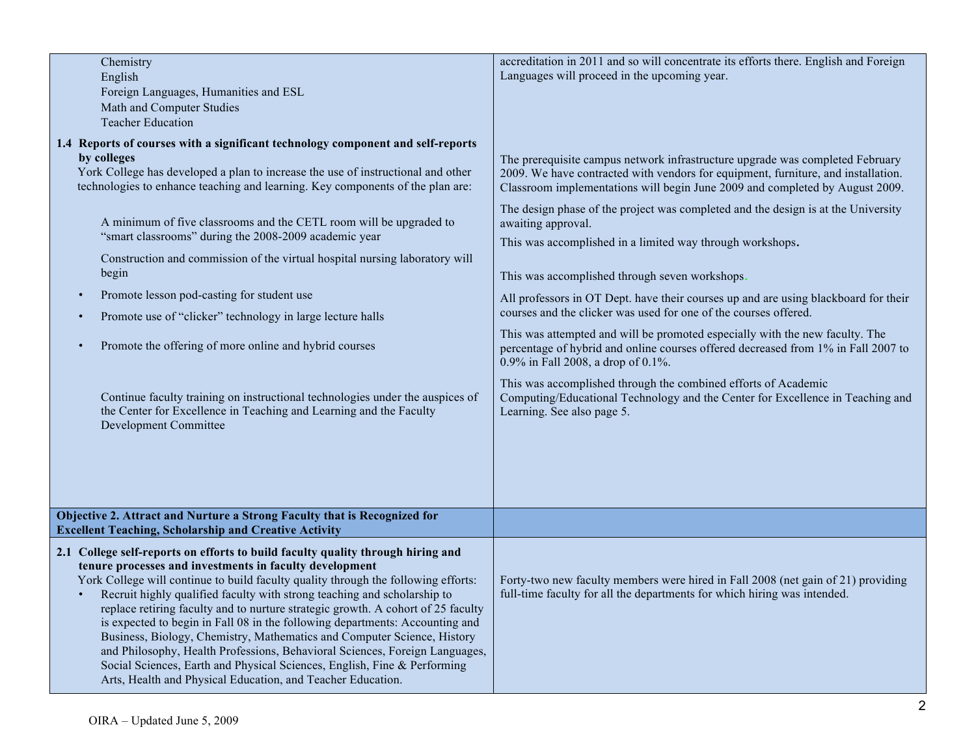| Chemistry                                                                             | accreditation in 2011 and so will concentrate its efforts there. English and Foreign |
|---------------------------------------------------------------------------------------|--------------------------------------------------------------------------------------|
| English                                                                               | Languages will proceed in the upcoming year.                                         |
| Foreign Languages, Humanities and ESL                                                 |                                                                                      |
| Math and Computer Studies                                                             |                                                                                      |
| <b>Teacher Education</b>                                                              |                                                                                      |
| 1.4 Reports of courses with a significant technology component and self-reports       |                                                                                      |
| by colleges                                                                           | The prerequisite campus network infrastructure upgrade was completed February        |
| York College has developed a plan to increase the use of instructional and other      | 2009. We have contracted with vendors for equipment, furniture, and installation.    |
| technologies to enhance teaching and learning. Key components of the plan are:        | Classroom implementations will begin June 2009 and completed by August 2009.         |
|                                                                                       | The design phase of the project was completed and the design is at the University    |
| A minimum of five classrooms and the CETL room will be upgraded to                    | awaiting approval.                                                                   |
| "smart classrooms" during the 2008-2009 academic year                                 |                                                                                      |
|                                                                                       | This was accomplished in a limited way through workshops.                            |
| Construction and commission of the virtual hospital nursing laboratory will           |                                                                                      |
| begin                                                                                 | This was accomplished through seven workshops.                                       |
|                                                                                       |                                                                                      |
| Promote lesson pod-casting for student use<br>$\bullet$                               | All professors in OT Dept. have their courses up and are using blackboard for their  |
| Promote use of "clicker" technology in large lecture halls                            | courses and the clicker was used for one of the courses offered.                     |
|                                                                                       | This was attempted and will be promoted especially with the new faculty. The         |
| Promote the offering of more online and hybrid courses<br>$\bullet$                   | percentage of hybrid and online courses offered decreased from 1% in Fall 2007 to    |
|                                                                                       | 0.9% in Fall 2008, a drop of 0.1%.                                                   |
|                                                                                       |                                                                                      |
|                                                                                       | This was accomplished through the combined efforts of Academic                       |
| Continue faculty training on instructional technologies under the auspices of         | Computing/Educational Technology and the Center for Excellence in Teaching and       |
| the Center for Excellence in Teaching and Learning and the Faculty                    | Learning. See also page 5.                                                           |
| <b>Development Committee</b>                                                          |                                                                                      |
|                                                                                       |                                                                                      |
|                                                                                       |                                                                                      |
|                                                                                       |                                                                                      |
|                                                                                       |                                                                                      |
|                                                                                       |                                                                                      |
| Objective 2. Attract and Nurture a Strong Faculty that is Recognized for              |                                                                                      |
| <b>Excellent Teaching, Scholarship and Creative Activity</b>                          |                                                                                      |
|                                                                                       |                                                                                      |
| 2.1 College self-reports on efforts to build faculty quality through hiring and       |                                                                                      |
| tenure processes and investments in faculty development                               |                                                                                      |
| York College will continue to build faculty quality through the following efforts:    | Forty-two new faculty members were hired in Fall 2008 (net gain of 21) providing     |
| Recruit highly qualified faculty with strong teaching and scholarship to<br>$\bullet$ | full-time faculty for all the departments for which hiring was intended.             |
| replace retiring faculty and to nurture strategic growth. A cohort of 25 faculty      |                                                                                      |
| is expected to begin in Fall 08 in the following departments: Accounting and          |                                                                                      |
| Business, Biology, Chemistry, Mathematics and Computer Science, History               |                                                                                      |
| and Philosophy, Health Professions, Behavioral Sciences, Foreign Languages,           |                                                                                      |
| Social Sciences, Earth and Physical Sciences, English, Fine & Performing              |                                                                                      |
| Arts, Health and Physical Education, and Teacher Education.                           |                                                                                      |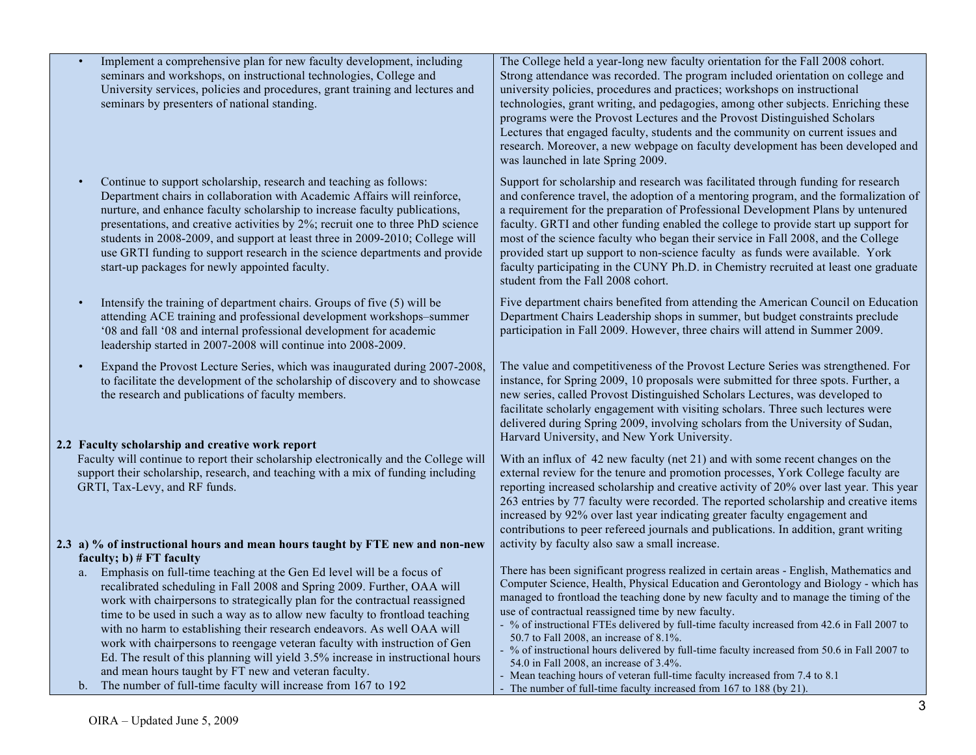| Implement a comprehensive plan for new faculty development, including<br>seminars and workshops, on instructional technologies, College and<br>University services, policies and procedures, grant training and lectures and<br>seminars by presenters of national standing.                                                                                                                                                                                                                                                                                                                                                                                                                 | The College held a year-long new faculty orientation for the Fall 2008 cohort.<br>Strong attendance was recorded. The program included orientation on college and<br>university policies, procedures and practices; workshops on instructional<br>technologies, grant writing, and pedagogies, among other subjects. Enriching these<br>programs were the Provost Lectures and the Provost Distinguished Scholars<br>Lectures that engaged faculty, students and the community on current issues and<br>research. Moreover, a new webpage on faculty development has been developed and<br>was launched in late Spring 2009.                                                                                                                                                   |
|----------------------------------------------------------------------------------------------------------------------------------------------------------------------------------------------------------------------------------------------------------------------------------------------------------------------------------------------------------------------------------------------------------------------------------------------------------------------------------------------------------------------------------------------------------------------------------------------------------------------------------------------------------------------------------------------|--------------------------------------------------------------------------------------------------------------------------------------------------------------------------------------------------------------------------------------------------------------------------------------------------------------------------------------------------------------------------------------------------------------------------------------------------------------------------------------------------------------------------------------------------------------------------------------------------------------------------------------------------------------------------------------------------------------------------------------------------------------------------------|
| Continue to support scholarship, research and teaching as follows:<br>Department chairs in collaboration with Academic Affairs will reinforce,<br>nurture, and enhance faculty scholarship to increase faculty publications,<br>presentations, and creative activities by 2%; recruit one to three PhD science<br>students in 2008-2009, and support at least three in 2009-2010; College will<br>use GRTI funding to support research in the science departments and provide<br>start-up packages for newly appointed faculty.                                                                                                                                                              | Support for scholarship and research was facilitated through funding for research<br>and conference travel, the adoption of a mentoring program, and the formalization of<br>a requirement for the preparation of Professional Development Plans by untenured<br>faculty. GRTI and other funding enabled the college to provide start up support for<br>most of the science faculty who began their service in Fall 2008, and the College<br>provided start up support to non-science faculty as funds were available. York<br>faculty participating in the CUNY Ph.D. in Chemistry recruited at least one graduate<br>student from the Fall 2008 cohort.                                                                                                                      |
| Intensify the training of department chairs. Groups of five (5) will be<br>attending ACE training and professional development workshops-summer<br>'08 and fall '08 and internal professional development for academic<br>leadership started in 2007-2008 will continue into 2008-2009.                                                                                                                                                                                                                                                                                                                                                                                                      | Five department chairs benefited from attending the American Council on Education<br>Department Chairs Leadership shops in summer, but budget constraints preclude<br>participation in Fall 2009. However, three chairs will attend in Summer 2009.                                                                                                                                                                                                                                                                                                                                                                                                                                                                                                                            |
| Expand the Provost Lecture Series, which was inaugurated during 2007-2008,<br>to facilitate the development of the scholarship of discovery and to showcase<br>the research and publications of faculty members.                                                                                                                                                                                                                                                                                                                                                                                                                                                                             | The value and competitiveness of the Provost Lecture Series was strengthened. For<br>instance, for Spring 2009, 10 proposals were submitted for three spots. Further, a<br>new series, called Provost Distinguished Scholars Lectures, was developed to<br>facilitate scholarly engagement with visiting scholars. Three such lectures were<br>delivered during Spring 2009, involving scholars from the University of Sudan,<br>Harvard University, and New York University.                                                                                                                                                                                                                                                                                                  |
| 2.2 Faculty scholarship and creative work report<br>Faculty will continue to report their scholarship electronically and the College will<br>support their scholarship, research, and teaching with a mix of funding including<br>GRTI, Tax-Levy, and RF funds.                                                                                                                                                                                                                                                                                                                                                                                                                              | With an influx of 42 new faculty (net 21) and with some recent changes on the<br>external review for the tenure and promotion processes, York College faculty are<br>reporting increased scholarship and creative activity of 20% over last year. This year<br>263 entries by 77 faculty were recorded. The reported scholarship and creative items<br>increased by 92% over last year indicating greater faculty engagement and<br>contributions to peer refereed journals and publications. In addition, grant writing                                                                                                                                                                                                                                                       |
| 2.3 a) % of instructional hours and mean hours taught by FTE new and non-new<br>faculty; $b)$ # FT faculty                                                                                                                                                                                                                                                                                                                                                                                                                                                                                                                                                                                   | activity by faculty also saw a small increase.                                                                                                                                                                                                                                                                                                                                                                                                                                                                                                                                                                                                                                                                                                                                 |
| Emphasis on full-time teaching at the Gen Ed level will be a focus of<br>a.<br>recalibrated scheduling in Fall 2008 and Spring 2009. Further, OAA will<br>work with chairpersons to strategically plan for the contractual reassigned<br>time to be used in such a way as to allow new faculty to frontload teaching<br>with no harm to establishing their research endeavors. As well OAA will<br>work with chairpersons to reengage veteran faculty with instruction of Gen<br>Ed. The result of this planning will yield 3.5% increase in instructional hours<br>and mean hours taught by FT new and veteran faculty.<br>b. The number of full-time faculty will increase from 167 to 192 | There has been significant progress realized in certain areas - English, Mathematics and<br>Computer Science, Health, Physical Education and Gerontology and Biology - which has<br>managed to frontload the teaching done by new faculty and to manage the timing of the<br>use of contractual reassigned time by new faculty.<br>- % of instructional FTEs delivered by full-time faculty increased from 42.6 in Fall 2007 to<br>50.7 to Fall 2008, an increase of 8.1%.<br>- % of instructional hours delivered by full-time faculty increased from 50.6 in Fall 2007 to<br>54.0 in Fall 2008, an increase of 3.4%.<br>- Mean teaching hours of veteran full-time faculty increased from 7.4 to 8.1<br>- The number of full-time faculty increased from 167 to 188 (by 21). |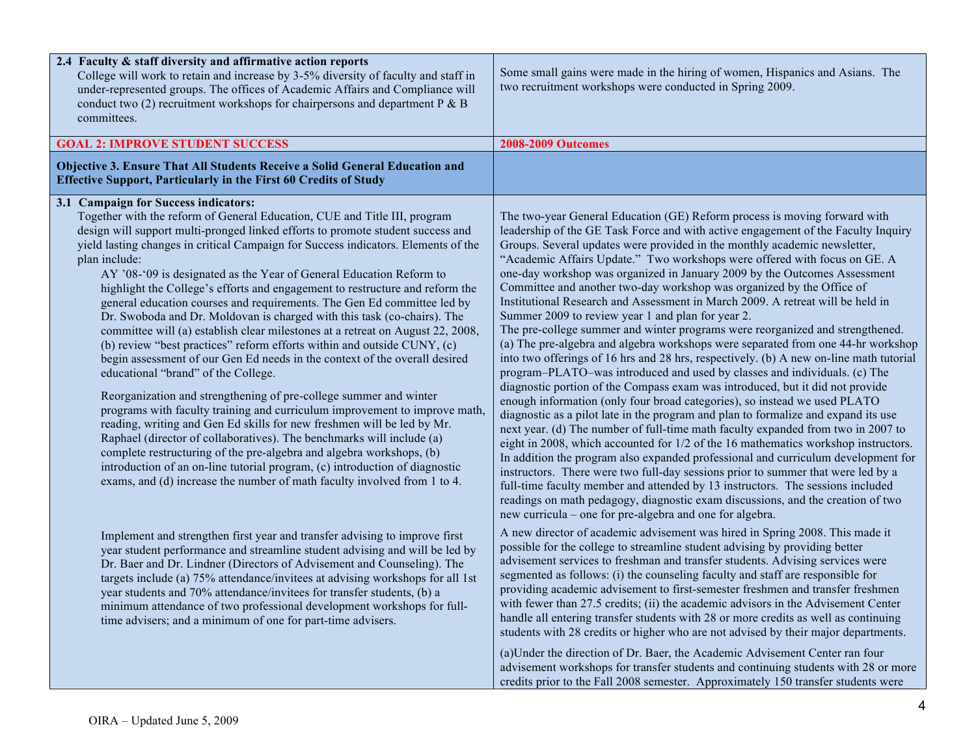| 2.4 Faculty & staff diversity and affirmative action reports<br>College will work to retain and increase by 3-5% diversity of faculty and staff in<br>under-represented groups. The offices of Academic Affairs and Compliance will<br>conduct two (2) recruitment workshops for chairpersons and department $P \& B$<br>committees.                                                                                                                                                                                                                                                                                                                                                                                                                                                                                                                                                                                                                                                                                                                                                                                                                                                                                                                                                                                                                                                                                                                | Some small gains were made in the hiring of women, Hispanics and Asians. The<br>two recruitment workshops were conducted in Spring 2009.                                                                                                                                                                                                                                                                                                                                                                                                                                                                                                                                                                                                                                                                                                                                                                                                                                                                                                                                                                                                                                                                                                                                                                                                                                                                                                                                                                                                                                                                                                                                                                                                                                                                  |
|-----------------------------------------------------------------------------------------------------------------------------------------------------------------------------------------------------------------------------------------------------------------------------------------------------------------------------------------------------------------------------------------------------------------------------------------------------------------------------------------------------------------------------------------------------------------------------------------------------------------------------------------------------------------------------------------------------------------------------------------------------------------------------------------------------------------------------------------------------------------------------------------------------------------------------------------------------------------------------------------------------------------------------------------------------------------------------------------------------------------------------------------------------------------------------------------------------------------------------------------------------------------------------------------------------------------------------------------------------------------------------------------------------------------------------------------------------|-----------------------------------------------------------------------------------------------------------------------------------------------------------------------------------------------------------------------------------------------------------------------------------------------------------------------------------------------------------------------------------------------------------------------------------------------------------------------------------------------------------------------------------------------------------------------------------------------------------------------------------------------------------------------------------------------------------------------------------------------------------------------------------------------------------------------------------------------------------------------------------------------------------------------------------------------------------------------------------------------------------------------------------------------------------------------------------------------------------------------------------------------------------------------------------------------------------------------------------------------------------------------------------------------------------------------------------------------------------------------------------------------------------------------------------------------------------------------------------------------------------------------------------------------------------------------------------------------------------------------------------------------------------------------------------------------------------------------------------------------------------------------------------------------------------|
| <b>GOAL 2: IMPROVE STUDENT SUCCESS</b>                                                                                                                                                                                                                                                                                                                                                                                                                                                                                                                                                                                                                                                                                                                                                                                                                                                                                                                                                                                                                                                                                                                                                                                                                                                                                                                                                                                                              | <b>2008-2009 Outcomes</b>                                                                                                                                                                                                                                                                                                                                                                                                                                                                                                                                                                                                                                                                                                                                                                                                                                                                                                                                                                                                                                                                                                                                                                                                                                                                                                                                                                                                                                                                                                                                                                                                                                                                                                                                                                                 |
| Objective 3. Ensure That All Students Receive a Solid General Education and<br><b>Effective Support, Particularly in the First 60 Credits of Study</b>                                                                                                                                                                                                                                                                                                                                                                                                                                                                                                                                                                                                                                                                                                                                                                                                                                                                                                                                                                                                                                                                                                                                                                                                                                                                                              |                                                                                                                                                                                                                                                                                                                                                                                                                                                                                                                                                                                                                                                                                                                                                                                                                                                                                                                                                                                                                                                                                                                                                                                                                                                                                                                                                                                                                                                                                                                                                                                                                                                                                                                                                                                                           |
| 3.1 Campaign for Success indicators:<br>Together with the reform of General Education, CUE and Title III, program<br>design will support multi-pronged linked efforts to promote student success and<br>yield lasting changes in critical Campaign for Success indicators. Elements of the<br>plan include:<br>AY '08-'09 is designated as the Year of General Education Reform to<br>highlight the College's efforts and engagement to restructure and reform the<br>general education courses and requirements. The Gen Ed committee led by<br>Dr. Swoboda and Dr. Moldovan is charged with this task (co-chairs). The<br>committee will (a) establish clear milestones at a retreat on August 22, 2008,<br>(b) review "best practices" reform efforts within and outside CUNY, (c)<br>begin assessment of our Gen Ed needs in the context of the overall desired<br>educational "brand" of the College.<br>Reorganization and strengthening of pre-college summer and winter<br>programs with faculty training and curriculum improvement to improve math,<br>reading, writing and Gen Ed skills for new freshmen will be led by Mr.<br>Raphael (director of collaboratives). The benchmarks will include (a)<br>complete restructuring of the pre-algebra and algebra workshops, (b)<br>introduction of an on-line tutorial program, (c) introduction of diagnostic<br>exams, and (d) increase the number of math faculty involved from 1 to 4. | The two-year General Education (GE) Reform process is moving forward with<br>leadership of the GE Task Force and with active engagement of the Faculty Inquiry<br>Groups. Several updates were provided in the monthly academic newsletter,<br>"Academic Affairs Update." Two workshops were offered with focus on GE. A<br>one-day workshop was organized in January 2009 by the Outcomes Assessment<br>Committee and another two-day workshop was organized by the Office of<br>Institutional Research and Assessment in March 2009. A retreat will be held in<br>Summer 2009 to review year 1 and plan for year 2.<br>The pre-college summer and winter programs were reorganized and strengthened.<br>(a) The pre-algebra and algebra workshops were separated from one 44-hr workshop<br>into two offerings of 16 hrs and 28 hrs, respectively. (b) A new on-line math tutorial<br>program-PLATO-was introduced and used by classes and individuals. (c) The<br>diagnostic portion of the Compass exam was introduced, but it did not provide<br>enough information (only four broad categories), so instead we used PLATO<br>diagnostic as a pilot late in the program and plan to formalize and expand its use<br>next year. (d) The number of full-time math faculty expanded from two in 2007 to<br>eight in 2008, which accounted for 1/2 of the 16 mathematics workshop instructors.<br>In addition the program also expanded professional and curriculum development for<br>instructors. There were two full-day sessions prior to summer that were led by a<br>full-time faculty member and attended by 13 instructors. The sessions included<br>readings on math pedagogy, diagnostic exam discussions, and the creation of two<br>new curricula – one for pre-algebra and one for algebra. |
| Implement and strengthen first year and transfer advising to improve first<br>year student performance and streamline student advising and will be led by<br>Dr. Baer and Dr. Lindner (Directors of Advisement and Counseling). The<br>targets include (a) 75% attendance/invitees at advising workshops for all 1st<br>year students and 70% attendance/invitees for transfer students, (b) a<br>minimum attendance of two professional development workshops for full-<br>time advisers; and a minimum of one for part-time advisers.                                                                                                                                                                                                                                                                                                                                                                                                                                                                                                                                                                                                                                                                                                                                                                                                                                                                                                             | A new director of academic advisement was hired in Spring 2008. This made it<br>possible for the college to streamline student advising by providing better<br>advisement services to freshman and transfer students. Advising services were<br>segmented as follows: (i) the counseling faculty and staff are responsible for<br>providing academic advisement to first-semester freshmen and transfer freshmen<br>with fewer than 27.5 credits; (ii) the academic advisors in the Advisement Center<br>handle all entering transfer students with 28 or more credits as well as continuing<br>students with 28 credits or higher who are not advised by their major departments.                                                                                                                                                                                                                                                                                                                                                                                                                                                                                                                                                                                                                                                                                                                                                                                                                                                                                                                                                                                                                                                                                                                        |
|                                                                                                                                                                                                                                                                                                                                                                                                                                                                                                                                                                                                                                                                                                                                                                                                                                                                                                                                                                                                                                                                                                                                                                                                                                                                                                                                                                                                                                                     | (a) Under the direction of Dr. Baer, the Academic Advisement Center ran four<br>advisement workshops for transfer students and continuing students with 28 or more<br>credits prior to the Fall 2008 semester. Approximately 150 transfer students were                                                                                                                                                                                                                                                                                                                                                                                                                                                                                                                                                                                                                                                                                                                                                                                                                                                                                                                                                                                                                                                                                                                                                                                                                                                                                                                                                                                                                                                                                                                                                   |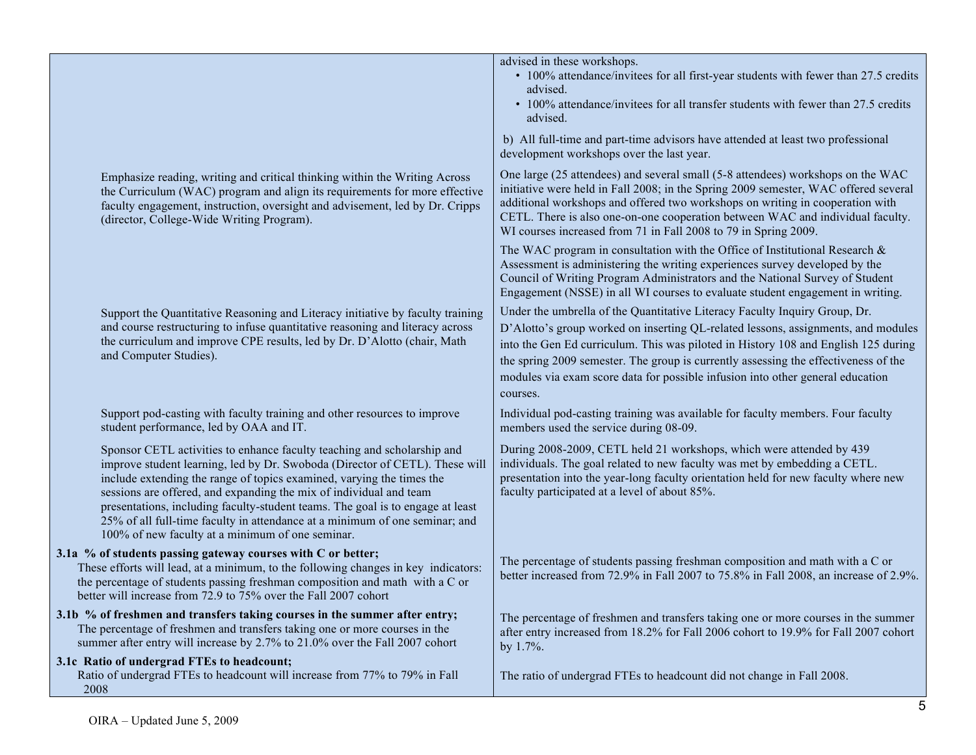|                                                                                                                                                                                                                                                                                                                                                                                                                                                                                                                            | advised in these workshops.<br>• 100% attendance/invitees for all first-year students with fewer than 27.5 credits<br>advised.                                                                                                                                                                                                                                                                                                             |
|----------------------------------------------------------------------------------------------------------------------------------------------------------------------------------------------------------------------------------------------------------------------------------------------------------------------------------------------------------------------------------------------------------------------------------------------------------------------------------------------------------------------------|--------------------------------------------------------------------------------------------------------------------------------------------------------------------------------------------------------------------------------------------------------------------------------------------------------------------------------------------------------------------------------------------------------------------------------------------|
|                                                                                                                                                                                                                                                                                                                                                                                                                                                                                                                            | • 100% attendance/invitees for all transfer students with fewer than 27.5 credits<br>advised.                                                                                                                                                                                                                                                                                                                                              |
|                                                                                                                                                                                                                                                                                                                                                                                                                                                                                                                            | b) All full-time and part-time advisors have attended at least two professional<br>development workshops over the last year.                                                                                                                                                                                                                                                                                                               |
| Emphasize reading, writing and critical thinking within the Writing Across<br>the Curriculum (WAC) program and align its requirements for more effective<br>faculty engagement, instruction, oversight and advisement, led by Dr. Cripps<br>(director, College-Wide Writing Program).                                                                                                                                                                                                                                      | One large (25 attendees) and several small (5-8 attendees) workshops on the WAC<br>initiative were held in Fall 2008; in the Spring 2009 semester, WAC offered several<br>additional workshops and offered two workshops on writing in cooperation with<br>CETL. There is also one-on-one cooperation between WAC and individual faculty.<br>WI courses increased from 71 in Fall 2008 to 79 in Spring 2009.                               |
|                                                                                                                                                                                                                                                                                                                                                                                                                                                                                                                            | The WAC program in consultation with the Office of Institutional Research $\&$<br>Assessment is administering the writing experiences survey developed by the<br>Council of Writing Program Administrators and the National Survey of Student<br>Engagement (NSSE) in all WI courses to evaluate student engagement in writing.                                                                                                            |
| Support the Quantitative Reasoning and Literacy initiative by faculty training<br>and course restructuring to infuse quantitative reasoning and literacy across<br>the curriculum and improve CPE results, led by Dr. D'Alotto (chair, Math<br>and Computer Studies).                                                                                                                                                                                                                                                      | Under the umbrella of the Quantitative Literacy Faculty Inquiry Group, Dr.<br>D'Alotto's group worked on inserting QL-related lessons, assignments, and modules<br>into the Gen Ed curriculum. This was piloted in History 108 and English 125 during<br>the spring 2009 semester. The group is currently assessing the effectiveness of the<br>modules via exam score data for possible infusion into other general education<br>courses. |
| Support pod-casting with faculty training and other resources to improve<br>student performance, led by OAA and IT.                                                                                                                                                                                                                                                                                                                                                                                                        | Individual pod-casting training was available for faculty members. Four faculty<br>members used the service during 08-09.                                                                                                                                                                                                                                                                                                                  |
| Sponsor CETL activities to enhance faculty teaching and scholarship and<br>improve student learning, led by Dr. Swoboda (Director of CETL). These will<br>include extending the range of topics examined, varying the times the<br>sessions are offered, and expanding the mix of individual and team<br>presentations, including faculty-student teams. The goal is to engage at least<br>25% of all full-time faculty in attendance at a minimum of one seminar; and<br>100% of new faculty at a minimum of one seminar. | During 2008-2009, CETL held 21 workshops, which were attended by 439<br>individuals. The goal related to new faculty was met by embedding a CETL.<br>presentation into the year-long faculty orientation held for new faculty where new<br>faculty participated at a level of about 85%.                                                                                                                                                   |
| 3.1a % of students passing gateway courses with C or better;<br>These efforts will lead, at a minimum, to the following changes in key indicators:<br>the percentage of students passing freshman composition and math with a C or<br>better will increase from 72.9 to 75% over the Fall 2007 cohort                                                                                                                                                                                                                      | The percentage of students passing freshman composition and math with a C or<br>better increased from 72.9% in Fall 2007 to 75.8% in Fall 2008, an increase of 2.9%.                                                                                                                                                                                                                                                                       |
| 3.1b % of freshmen and transfers taking courses in the summer after entry;<br>The percentage of freshmen and transfers taking one or more courses in the<br>summer after entry will increase by 2.7% to 21.0% over the Fall 2007 cohort                                                                                                                                                                                                                                                                                    | The percentage of freshmen and transfers taking one or more courses in the summer<br>after entry increased from 18.2% for Fall 2006 cohort to 19.9% for Fall 2007 cohort<br>by 1.7%.                                                                                                                                                                                                                                                       |
| 3.1c Ratio of undergrad FTEs to headcount;<br>Ratio of undergrad FTEs to headcount will increase from 77% to 79% in Fall<br>2008                                                                                                                                                                                                                                                                                                                                                                                           | The ratio of undergrad FTEs to headcount did not change in Fall 2008.                                                                                                                                                                                                                                                                                                                                                                      |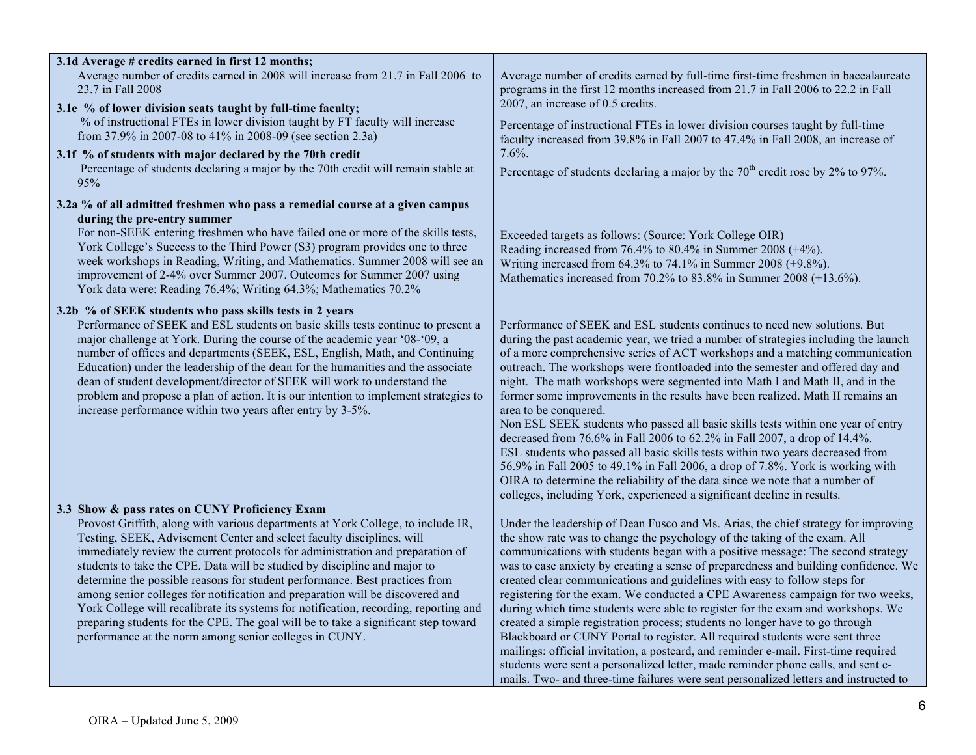| 3.1d Average # credits earned in first 12 months;<br>Average number of credits earned in 2008 will increase from 21.7 in Fall 2006 to<br>23.7 in Fall 2008                                                                                                                                                                                                                                                                                                                                                                                                                                                                                                                                                                                                                         | Average number of credits earned by full-time first-time freshmen in baccalaureate<br>programs in the first 12 months increased from 21.7 in Fall 2006 to 22.2 in Fall                                                                                                                                                                                                                                                                                                                                                                                                                                                                                                                                                                                                                                                                                                                                                                                                                                                         |
|------------------------------------------------------------------------------------------------------------------------------------------------------------------------------------------------------------------------------------------------------------------------------------------------------------------------------------------------------------------------------------------------------------------------------------------------------------------------------------------------------------------------------------------------------------------------------------------------------------------------------------------------------------------------------------------------------------------------------------------------------------------------------------|--------------------------------------------------------------------------------------------------------------------------------------------------------------------------------------------------------------------------------------------------------------------------------------------------------------------------------------------------------------------------------------------------------------------------------------------------------------------------------------------------------------------------------------------------------------------------------------------------------------------------------------------------------------------------------------------------------------------------------------------------------------------------------------------------------------------------------------------------------------------------------------------------------------------------------------------------------------------------------------------------------------------------------|
| 3.1e % of lower division seats taught by full-time faculty;<br>% of instructional FTEs in lower division taught by FT faculty will increase<br>from 37.9% in 2007-08 to 41% in 2008-09 (see section 2.3a)                                                                                                                                                                                                                                                                                                                                                                                                                                                                                                                                                                          | 2007, an increase of 0.5 credits.<br>Percentage of instructional FTEs in lower division courses taught by full-time<br>faculty increased from 39.8% in Fall 2007 to 47.4% in Fall 2008, an increase of                                                                                                                                                                                                                                                                                                                                                                                                                                                                                                                                                                                                                                                                                                                                                                                                                         |
| 3.1f % of students with major declared by the 70th credit<br>Percentage of students declaring a major by the 70th credit will remain stable at<br>95%                                                                                                                                                                                                                                                                                                                                                                                                                                                                                                                                                                                                                              | $7.6\%$ .<br>Percentage of students declaring a major by the $70th$ credit rose by 2% to 97%.                                                                                                                                                                                                                                                                                                                                                                                                                                                                                                                                                                                                                                                                                                                                                                                                                                                                                                                                  |
| 3.2a % of all admitted freshmen who pass a remedial course at a given campus<br>during the pre-entry summer<br>For non-SEEK entering freshmen who have failed one or more of the skills tests,<br>York College's Success to the Third Power (S3) program provides one to three<br>week workshops in Reading, Writing, and Mathematics. Summer 2008 will see an<br>improvement of 2-4% over Summer 2007. Outcomes for Summer 2007 using<br>York data were: Reading 76.4%; Writing 64.3%; Mathematics 70.2%                                                                                                                                                                                                                                                                          | Exceeded targets as follows: (Source: York College OIR)<br>Reading increased from 76.4% to 80.4% in Summer 2008 $(+4%)$ .<br>Writing increased from 64.3% to 74.1% in Summer 2008 (+9.8%).<br>Mathematics increased from 70.2% to 83.8% in Summer 2008 (+13.6%).                                                                                                                                                                                                                                                                                                                                                                                                                                                                                                                                                                                                                                                                                                                                                               |
| 3.2b % of SEEK students who pass skills tests in 2 years<br>Performance of SEEK and ESL students on basic skills tests continue to present a<br>major challenge at York. During the course of the academic year '08-'09, a<br>number of offices and departments (SEEK, ESL, English, Math, and Continuing<br>Education) under the leadership of the dean for the humanities and the associate<br>dean of student development/director of SEEK will work to understand the<br>problem and propose a plan of action. It is our intention to implement strategies to<br>increase performance within two years after entry by 3-5%.                                                                                                                                                    | Performance of SEEK and ESL students continues to need new solutions. But<br>during the past academic year, we tried a number of strategies including the launch<br>of a more comprehensive series of ACT workshops and a matching communication<br>outreach. The workshops were frontloaded into the semester and offered day and<br>night. The math workshops were segmented into Math I and Math II, and in the<br>former some improvements in the results have been realized. Math II remains an<br>area to be conquered.<br>Non ESL SEEK students who passed all basic skills tests within one year of entry<br>decreased from 76.6% in Fall 2006 to 62.2% in Fall 2007, a drop of 14.4%.<br>ESL students who passed all basic skills tests within two years decreased from<br>56.9% in Fall 2005 to 49.1% in Fall 2006, a drop of 7.8%. York is working with<br>OIRA to determine the reliability of the data since we note that a number of<br>colleges, including York, experienced a significant decline in results.  |
| 3.3 Show & pass rates on CUNY Proficiency Exam<br>Provost Griffith, along with various departments at York College, to include IR,<br>Testing, SEEK, Advisement Center and select faculty disciplines, will<br>immediately review the current protocols for administration and preparation of<br>students to take the CPE. Data will be studied by discipline and major to<br>determine the possible reasons for student performance. Best practices from<br>among senior colleges for notification and preparation will be discovered and<br>York College will recalibrate its systems for notification, recording, reporting and<br>preparing students for the CPE. The goal will be to take a significant step toward<br>performance at the norm among senior colleges in CUNY. | Under the leadership of Dean Fusco and Ms. Arias, the chief strategy for improving<br>the show rate was to change the psychology of the taking of the exam. All<br>communications with students began with a positive message: The second strategy<br>was to ease anxiety by creating a sense of preparedness and building confidence. We<br>created clear communications and guidelines with easy to follow steps for<br>registering for the exam. We conducted a CPE Awareness campaign for two weeks,<br>during which time students were able to register for the exam and workshops. We<br>created a simple registration process; students no longer have to go through<br>Blackboard or CUNY Portal to register. All required students were sent three<br>mailings: official invitation, a postcard, and reminder e-mail. First-time required<br>students were sent a personalized letter, made reminder phone calls, and sent e-<br>mails. Two- and three-time failures were sent personalized letters and instructed to |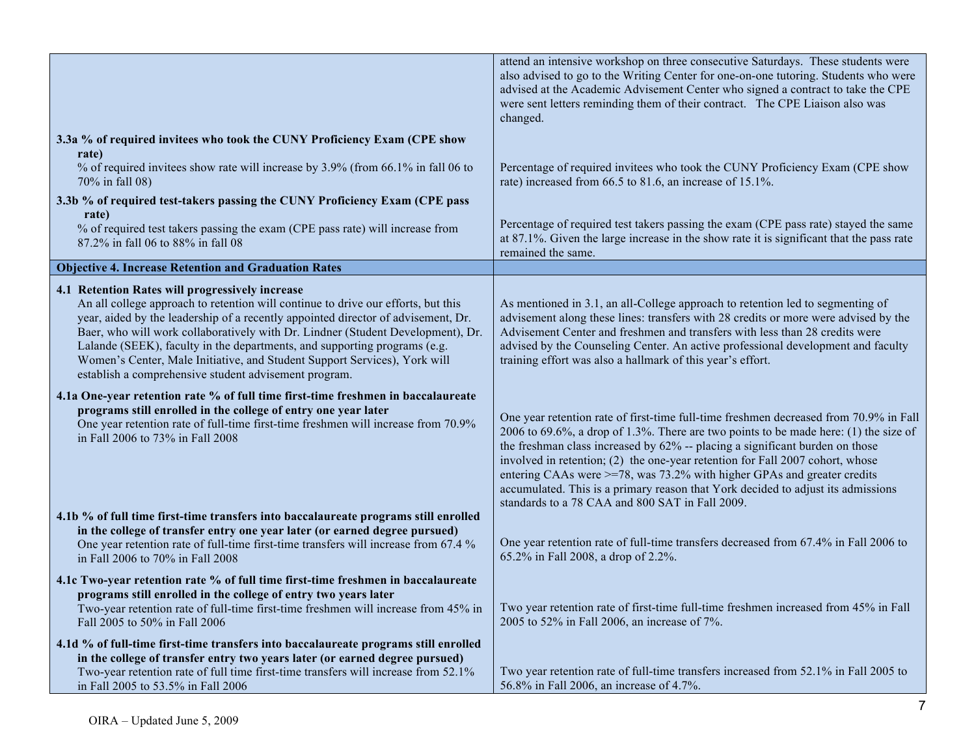|                                                                                                                                                                                                                                                                                                                                                                                                                                                                                                                                 | attend an intensive workshop on three consecutive Saturdays. These students were<br>also advised to go to the Writing Center for one-on-one tutoring. Students who were<br>advised at the Academic Advisement Center who signed a contract to take the CPE<br>were sent letters reminding them of their contract. The CPE Liaison also was<br>changed.                                                                                                                                                                                                           |
|---------------------------------------------------------------------------------------------------------------------------------------------------------------------------------------------------------------------------------------------------------------------------------------------------------------------------------------------------------------------------------------------------------------------------------------------------------------------------------------------------------------------------------|------------------------------------------------------------------------------------------------------------------------------------------------------------------------------------------------------------------------------------------------------------------------------------------------------------------------------------------------------------------------------------------------------------------------------------------------------------------------------------------------------------------------------------------------------------------|
| 3.3a % of required invitees who took the CUNY Proficiency Exam (CPE show<br>rate)                                                                                                                                                                                                                                                                                                                                                                                                                                               |                                                                                                                                                                                                                                                                                                                                                                                                                                                                                                                                                                  |
| % of required invitees show rate will increase by 3.9% (from 66.1% in fall 06 to<br>70% in fall 08)                                                                                                                                                                                                                                                                                                                                                                                                                             | Percentage of required invitees who took the CUNY Proficiency Exam (CPE show<br>rate) increased from 66.5 to 81.6, an increase of 15.1%.                                                                                                                                                                                                                                                                                                                                                                                                                         |
| 3.3b % of required test-takers passing the CUNY Proficiency Exam (CPE pass<br>rate)                                                                                                                                                                                                                                                                                                                                                                                                                                             |                                                                                                                                                                                                                                                                                                                                                                                                                                                                                                                                                                  |
| % of required test takers passing the exam (CPE pass rate) will increase from<br>87.2% in fall 06 to 88% in fall 08                                                                                                                                                                                                                                                                                                                                                                                                             | Percentage of required test takers passing the exam (CPE pass rate) stayed the same<br>at 87.1%. Given the large increase in the show rate it is significant that the pass rate<br>remained the same.                                                                                                                                                                                                                                                                                                                                                            |
| <b>Objective 4. Increase Retention and Graduation Rates</b>                                                                                                                                                                                                                                                                                                                                                                                                                                                                     |                                                                                                                                                                                                                                                                                                                                                                                                                                                                                                                                                                  |
| 4.1 Retention Rates will progressively increase<br>An all college approach to retention will continue to drive our efforts, but this<br>year, aided by the leadership of a recently appointed director of advisement, Dr.<br>Baer, who will work collaboratively with Dr. Lindner (Student Development), Dr.<br>Lalande (SEEK), faculty in the departments, and supporting programs (e.g.<br>Women's Center, Male Initiative, and Student Support Services), York will<br>establish a comprehensive student advisement program. | As mentioned in 3.1, an all-College approach to retention led to segmenting of<br>advisement along these lines: transfers with 28 credits or more were advised by the<br>Advisement Center and freshmen and transfers with less than 28 credits were<br>advised by the Counseling Center. An active professional development and faculty<br>training effort was also a hallmark of this year's effort.                                                                                                                                                           |
| 4.1a One-year retention rate % of full time first-time freshmen in baccalaureate<br>programs still enrolled in the college of entry one year later<br>One year retention rate of full-time first-time freshmen will increase from 70.9%<br>in Fall 2006 to 73% in Fall 2008                                                                                                                                                                                                                                                     | One year retention rate of first-time full-time freshmen decreased from 70.9% in Fall<br>2006 to 69.6%, a drop of 1.3%. There are two points to be made here: (1) the size of<br>the freshman class increased by 62% -- placing a significant burden on those<br>involved in retention; (2) the one-year retention for Fall 2007 cohort, whose<br>entering CAAs were >=78, was 73.2% with higher GPAs and greater credits<br>accumulated. This is a primary reason that York decided to adjust its admissions<br>standards to a 78 CAA and 800 SAT in Fall 2009. |
| 4.1b % of full time first-time transfers into baccalaureate programs still enrolled<br>in the college of transfer entry one year later (or earned degree pursued)<br>One year retention rate of full-time first-time transfers will increase from 67.4 %<br>in Fall 2006 to 70% in Fall 2008                                                                                                                                                                                                                                    | One year retention rate of full-time transfers decreased from 67.4% in Fall 2006 to<br>65.2% in Fall 2008, a drop of 2.2%.                                                                                                                                                                                                                                                                                                                                                                                                                                       |
| 4.1c Two-year retention rate % of full time first-time freshmen in baccalaureate<br>programs still enrolled in the college of entry two years later<br>Two-year retention rate of full-time first-time freshmen will increase from 45% in<br>Fall 2005 to 50% in Fall 2006                                                                                                                                                                                                                                                      | Two year retention rate of first-time full-time freshmen increased from 45% in Fall<br>2005 to 52% in Fall 2006, an increase of 7%.                                                                                                                                                                                                                                                                                                                                                                                                                              |
| 4.1d % of full-time first-time transfers into baccalaureate programs still enrolled<br>in the college of transfer entry two years later (or earned degree pursued)<br>Two-year retention rate of full time first-time transfers will increase from 52.1%<br>in Fall 2005 to 53.5% in Fall 2006                                                                                                                                                                                                                                  | Two year retention rate of full-time transfers increased from 52.1% in Fall 2005 to<br>56.8% in Fall 2006, an increase of 4.7%.                                                                                                                                                                                                                                                                                                                                                                                                                                  |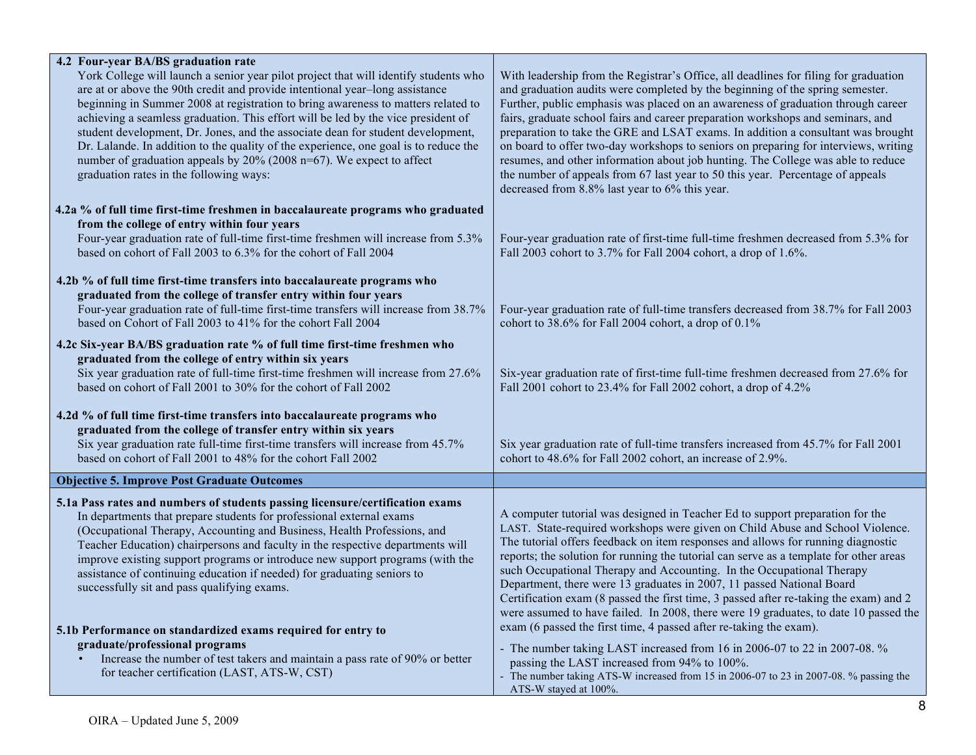| 4.2 Four-year BA/BS graduation rate                                                                                                                                                                                                                                                                                                            |                                                                                                                                                                                                                                                                                                                                              |
|------------------------------------------------------------------------------------------------------------------------------------------------------------------------------------------------------------------------------------------------------------------------------------------------------------------------------------------------|----------------------------------------------------------------------------------------------------------------------------------------------------------------------------------------------------------------------------------------------------------------------------------------------------------------------------------------------|
| York College will launch a senior year pilot project that will identify students who<br>are at or above the 90th credit and provide intentional year-long assistance<br>beginning in Summer 2008 at registration to bring awareness to matters related to<br>achieving a seamless graduation. This effort will be led by the vice president of | With leadership from the Registrar's Office, all deadlines for filing for graduation<br>and graduation audits were completed by the beginning of the spring semester.<br>Further, public emphasis was placed on an awareness of graduation through career<br>fairs, graduate school fairs and career preparation workshops and seminars, and |
| student development, Dr. Jones, and the associate dean for student development,                                                                                                                                                                                                                                                                | preparation to take the GRE and LSAT exams. In addition a consultant was brought                                                                                                                                                                                                                                                             |
| Dr. Lalande. In addition to the quality of the experience, one goal is to reduce the                                                                                                                                                                                                                                                           | on board to offer two-day workshops to seniors on preparing for interviews, writing                                                                                                                                                                                                                                                          |
| number of graduation appeals by $20\%$ (2008 n=67). We expect to affect<br>graduation rates in the following ways:                                                                                                                                                                                                                             | resumes, and other information about job hunting. The College was able to reduce<br>the number of appeals from 67 last year to 50 this year. Percentage of appeals<br>decreased from 8.8% last year to 6% this year.                                                                                                                         |
| 4.2a % of full time first-time freshmen in baccalaureate programs who graduated                                                                                                                                                                                                                                                                |                                                                                                                                                                                                                                                                                                                                              |
| from the college of entry within four years                                                                                                                                                                                                                                                                                                    |                                                                                                                                                                                                                                                                                                                                              |
| Four-year graduation rate of full-time first-time freshmen will increase from 5.3%<br>based on cohort of Fall 2003 to 6.3% for the cohort of Fall 2004                                                                                                                                                                                         | Four-year graduation rate of first-time full-time freshmen decreased from 5.3% for<br>Fall 2003 cohort to 3.7% for Fall 2004 cohort, a drop of 1.6%.                                                                                                                                                                                         |
| 4.2b % of full time first-time transfers into baccalaureate programs who                                                                                                                                                                                                                                                                       |                                                                                                                                                                                                                                                                                                                                              |
| graduated from the college of transfer entry within four years                                                                                                                                                                                                                                                                                 |                                                                                                                                                                                                                                                                                                                                              |
| Four-year graduation rate of full-time first-time transfers will increase from 38.7%<br>based on Cohort of Fall 2003 to 41% for the cohort Fall 2004                                                                                                                                                                                           | Four-year graduation rate of full-time transfers decreased from 38.7% for Fall 2003<br>cohort to 38.6% for Fall 2004 cohort, a drop of 0.1%                                                                                                                                                                                                  |
| 4.2c Six-year BA/BS graduation rate % of full time first-time freshmen who                                                                                                                                                                                                                                                                     |                                                                                                                                                                                                                                                                                                                                              |
| graduated from the college of entry within six years                                                                                                                                                                                                                                                                                           |                                                                                                                                                                                                                                                                                                                                              |
| Six year graduation rate of full-time first-time freshmen will increase from 27.6%<br>based on cohort of Fall 2001 to 30% for the cohort of Fall 2002                                                                                                                                                                                          | Six-year graduation rate of first-time full-time freshmen decreased from 27.6% for<br>Fall 2001 cohort to 23.4% for Fall 2002 cohort, a drop of 4.2%                                                                                                                                                                                         |
| 4.2d % of full time first-time transfers into baccalaureate programs who                                                                                                                                                                                                                                                                       |                                                                                                                                                                                                                                                                                                                                              |
| graduated from the college of transfer entry within six years                                                                                                                                                                                                                                                                                  |                                                                                                                                                                                                                                                                                                                                              |
| Six year graduation rate full-time first-time transfers will increase from 45.7%<br>based on cohort of Fall 2001 to 48% for the cohort Fall 2002                                                                                                                                                                                               | Six year graduation rate of full-time transfers increased from 45.7% for Fall 2001<br>cohort to 48.6% for Fall 2002 cohort, an increase of 2.9%.                                                                                                                                                                                             |
|                                                                                                                                                                                                                                                                                                                                                |                                                                                                                                                                                                                                                                                                                                              |
| <b>Objective 5. Improve Post Graduate Outcomes</b>                                                                                                                                                                                                                                                                                             |                                                                                                                                                                                                                                                                                                                                              |
| 5.1a Pass rates and numbers of students passing licensure/certification exams                                                                                                                                                                                                                                                                  |                                                                                                                                                                                                                                                                                                                                              |
| In departments that prepare students for professional external exams<br>(Occupational Therapy, Accounting and Business, Health Professions, and                                                                                                                                                                                                | A computer tutorial was designed in Teacher Ed to support preparation for the<br>LAST. State-required workshops were given on Child Abuse and School Violence.                                                                                                                                                                               |
| Teacher Education) chairpersons and faculty in the respective departments will                                                                                                                                                                                                                                                                 | The tutorial offers feedback on item responses and allows for running diagnostic                                                                                                                                                                                                                                                             |
| improve existing support programs or introduce new support programs (with the                                                                                                                                                                                                                                                                  | reports; the solution for running the tutorial can serve as a template for other areas                                                                                                                                                                                                                                                       |
| assistance of continuing education if needed) for graduating seniors to                                                                                                                                                                                                                                                                        | such Occupational Therapy and Accounting. In the Occupational Therapy                                                                                                                                                                                                                                                                        |
| successfully sit and pass qualifying exams.                                                                                                                                                                                                                                                                                                    | Department, there were 13 graduates in 2007, 11 passed National Board<br>Certification exam (8 passed the first time, 3 passed after re-taking the exam) and 2                                                                                                                                                                               |
|                                                                                                                                                                                                                                                                                                                                                | were assumed to have failed. In 2008, there were 19 graduates, to date 10 passed the                                                                                                                                                                                                                                                         |
| 5.1b Performance on standardized exams required for entry to                                                                                                                                                                                                                                                                                   | exam (6 passed the first time, 4 passed after re-taking the exam).                                                                                                                                                                                                                                                                           |
| graduate/professional programs                                                                                                                                                                                                                                                                                                                 | - The number taking LAST increased from 16 in 2006-07 to 22 in 2007-08. %                                                                                                                                                                                                                                                                    |
| Increase the number of test takers and maintain a pass rate of 90% or better<br>for teacher certification (LAST, ATS-W, CST)                                                                                                                                                                                                                   | passing the LAST increased from 94% to 100%.                                                                                                                                                                                                                                                                                                 |
|                                                                                                                                                                                                                                                                                                                                                | - The number taking ATS-W increased from 15 in 2006-07 to 23 in 2007-08. % passing the<br>ATS-W stayed at 100%.                                                                                                                                                                                                                              |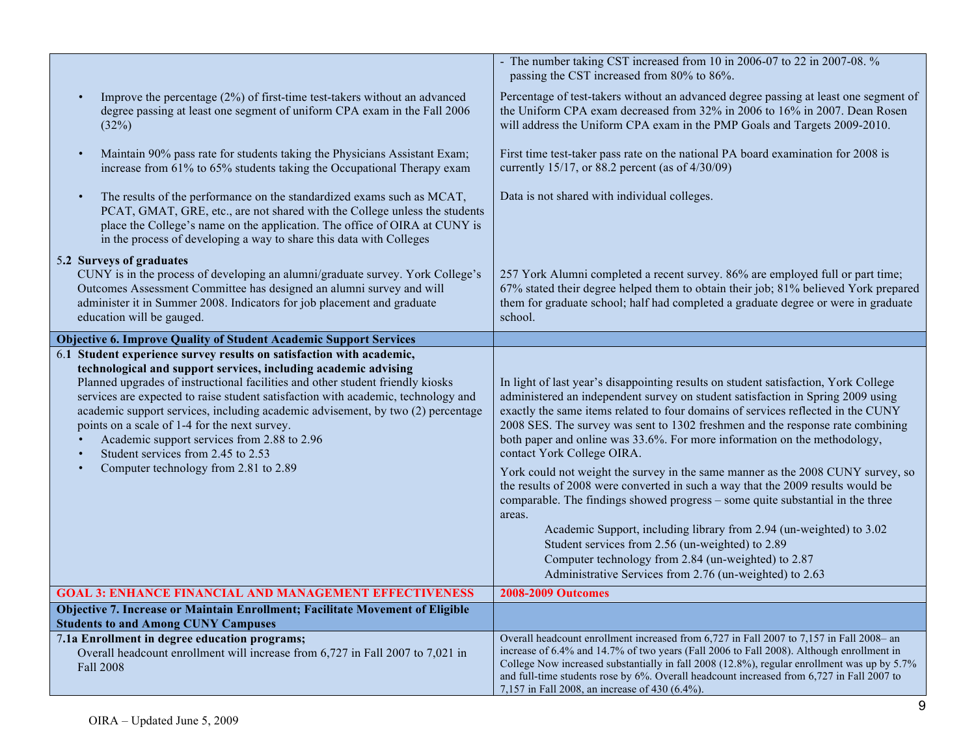|                                                                                                                                                                                                                                                                                                                                                                                                                                                                                                                                                                                               | - The number taking CST increased from 10 in 2006-07 to 22 in 2007-08. %<br>passing the CST increased from 80% to 86%.                                                                                                                                                                                                                                                                                                                                                                                                                                                                                                                                                                                                                                                                                                                                                                                                                                                 |
|-----------------------------------------------------------------------------------------------------------------------------------------------------------------------------------------------------------------------------------------------------------------------------------------------------------------------------------------------------------------------------------------------------------------------------------------------------------------------------------------------------------------------------------------------------------------------------------------------|------------------------------------------------------------------------------------------------------------------------------------------------------------------------------------------------------------------------------------------------------------------------------------------------------------------------------------------------------------------------------------------------------------------------------------------------------------------------------------------------------------------------------------------------------------------------------------------------------------------------------------------------------------------------------------------------------------------------------------------------------------------------------------------------------------------------------------------------------------------------------------------------------------------------------------------------------------------------|
| Improve the percentage (2%) of first-time test-takers without an advanced<br>degree passing at least one segment of uniform CPA exam in the Fall 2006<br>(32%)                                                                                                                                                                                                                                                                                                                                                                                                                                | Percentage of test-takers without an advanced degree passing at least one segment of<br>the Uniform CPA exam decreased from 32% in 2006 to 16% in 2007. Dean Rosen<br>will address the Uniform CPA exam in the PMP Goals and Targets 2009-2010.                                                                                                                                                                                                                                                                                                                                                                                                                                                                                                                                                                                                                                                                                                                        |
| Maintain 90% pass rate for students taking the Physicians Assistant Exam;<br>$\bullet$<br>increase from 61% to 65% students taking the Occupational Therapy exam                                                                                                                                                                                                                                                                                                                                                                                                                              | First time test-taker pass rate on the national PA board examination for 2008 is<br>currently 15/17, or 88.2 percent (as of $4/30/09$ )                                                                                                                                                                                                                                                                                                                                                                                                                                                                                                                                                                                                                                                                                                                                                                                                                                |
| The results of the performance on the standardized exams such as MCAT,<br>$\bullet$<br>PCAT, GMAT, GRE, etc., are not shared with the College unless the students<br>place the College's name on the application. The office of OIRA at CUNY is<br>in the process of developing a way to share this data with Colleges                                                                                                                                                                                                                                                                        | Data is not shared with individual colleges.                                                                                                                                                                                                                                                                                                                                                                                                                                                                                                                                                                                                                                                                                                                                                                                                                                                                                                                           |
| 5.2 Surveys of graduates<br>CUNY is in the process of developing an alumni/graduate survey. York College's<br>Outcomes Assessment Committee has designed an alumni survey and will<br>administer it in Summer 2008. Indicators for job placement and graduate<br>education will be gauged.                                                                                                                                                                                                                                                                                                    | 257 York Alumni completed a recent survey. 86% are employed full or part time;<br>67% stated their degree helped them to obtain their job; 81% believed York prepared<br>them for graduate school; half had completed a graduate degree or were in graduate<br>school.                                                                                                                                                                                                                                                                                                                                                                                                                                                                                                                                                                                                                                                                                                 |
| <b>Objective 6. Improve Quality of Student Academic Support Services</b>                                                                                                                                                                                                                                                                                                                                                                                                                                                                                                                      |                                                                                                                                                                                                                                                                                                                                                                                                                                                                                                                                                                                                                                                                                                                                                                                                                                                                                                                                                                        |
| 6.1 Student experience survey results on satisfaction with academic,<br>technological and support services, including academic advising<br>Planned upgrades of instructional facilities and other student friendly kiosks<br>services are expected to raise student satisfaction with academic, technology and<br>academic support services, including academic advisement, by two (2) percentage<br>points on a scale of 1-4 for the next survey.<br>Academic support services from 2.88 to 2.96<br>Student services from 2.45 to 2.53<br>Computer technology from 2.81 to 2.89<br>$\bullet$ | In light of last year's disappointing results on student satisfaction, York College<br>administered an independent survey on student satisfaction in Spring 2009 using<br>exactly the same items related to four domains of services reflected in the CUNY<br>2008 SES. The survey was sent to 1302 freshmen and the response rate combining<br>both paper and online was 33.6%. For more information on the methodology,<br>contact York College OIRA.<br>York could not weight the survey in the same manner as the 2008 CUNY survey, so<br>the results of 2008 were converted in such a way that the 2009 results would be<br>comparable. The findings showed progress - some quite substantial in the three<br>areas.<br>Academic Support, including library from 2.94 (un-weighted) to 3.02<br>Student services from 2.56 (un-weighted) to 2.89<br>Computer technology from 2.84 (un-weighted) to 2.87<br>Administrative Services from 2.76 (un-weighted) to 2.63 |
| <b>GOAL 3: ENHANCE FINANCIAL AND MANAGEMENT EFFECTIVENESS</b>                                                                                                                                                                                                                                                                                                                                                                                                                                                                                                                                 | <b>2008-2009 Outcomes</b>                                                                                                                                                                                                                                                                                                                                                                                                                                                                                                                                                                                                                                                                                                                                                                                                                                                                                                                                              |
| Objective 7. Increase or Maintain Enrollment; Facilitate Movement of Eligible<br><b>Students to and Among CUNY Campuses</b>                                                                                                                                                                                                                                                                                                                                                                                                                                                                   |                                                                                                                                                                                                                                                                                                                                                                                                                                                                                                                                                                                                                                                                                                                                                                                                                                                                                                                                                                        |
| 7.1a Enrollment in degree education programs;<br>Overall headcount enrollment will increase from 6,727 in Fall 2007 to 7,021 in<br><b>Fall 2008</b>                                                                                                                                                                                                                                                                                                                                                                                                                                           | Overall headcount enrollment increased from 6,727 in Fall 2007 to 7,157 in Fall 2008- an<br>increase of 6.4% and 14.7% of two years (Fall 2006 to Fall 2008). Although enrollment in<br>College Now increased substantially in fall 2008 (12.8%), regular enrollment was up by 5.7%<br>and full-time students rose by 6%. Overall headcount increased from 6,727 in Fall 2007 to<br>7,157 in Fall 2008, an increase of 430 (6.4%).                                                                                                                                                                                                                                                                                                                                                                                                                                                                                                                                     |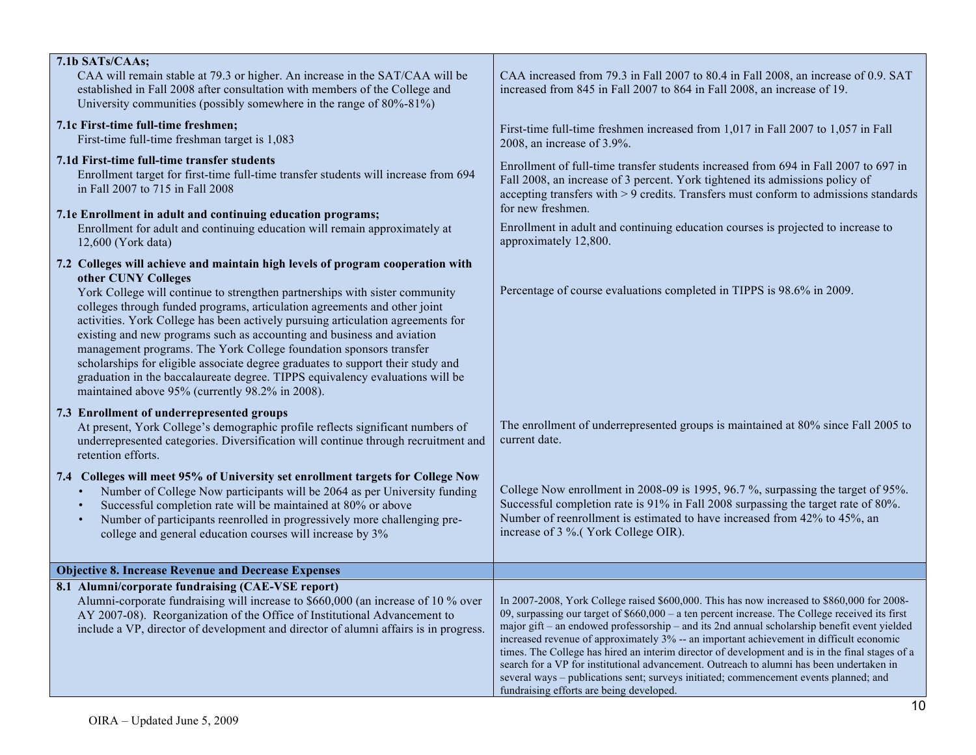| 7.1b SATs/CAAs;                                                                                                                                                                                                                                                                                                                                                                                                                                                                                                                                                                                                                           |                                                                                                                                                                                                                                                                                                                                                                                                                                                                                                                                                                                                                                                                                                                               |
|-------------------------------------------------------------------------------------------------------------------------------------------------------------------------------------------------------------------------------------------------------------------------------------------------------------------------------------------------------------------------------------------------------------------------------------------------------------------------------------------------------------------------------------------------------------------------------------------------------------------------------------------|-------------------------------------------------------------------------------------------------------------------------------------------------------------------------------------------------------------------------------------------------------------------------------------------------------------------------------------------------------------------------------------------------------------------------------------------------------------------------------------------------------------------------------------------------------------------------------------------------------------------------------------------------------------------------------------------------------------------------------|
| CAA will remain stable at 79.3 or higher. An increase in the SAT/CAA will be<br>established in Fall 2008 after consultation with members of the College and<br>University communities (possibly somewhere in the range of 80%-81%)                                                                                                                                                                                                                                                                                                                                                                                                        | CAA increased from 79.3 in Fall 2007 to 80.4 in Fall 2008, an increase of 0.9. SAT<br>increased from 845 in Fall 2007 to 864 in Fall 2008, an increase of 19.                                                                                                                                                                                                                                                                                                                                                                                                                                                                                                                                                                 |
| 7.1c First-time full-time freshmen;<br>First-time full-time freshman target is 1,083                                                                                                                                                                                                                                                                                                                                                                                                                                                                                                                                                      | First-time full-time freshmen increased from 1,017 in Fall 2007 to 1,057 in Fall<br>2008, an increase of 3.9%.                                                                                                                                                                                                                                                                                                                                                                                                                                                                                                                                                                                                                |
| 7.1d First-time full-time transfer students<br>Enrollment target for first-time full-time transfer students will increase from 694<br>in Fall 2007 to 715 in Fall 2008                                                                                                                                                                                                                                                                                                                                                                                                                                                                    | Enrollment of full-time transfer students increased from 694 in Fall 2007 to 697 in<br>Fall 2008, an increase of 3 percent. York tightened its admissions policy of<br>accepting transfers with > 9 credits. Transfers must conform to admissions standards<br>for new freshmen.                                                                                                                                                                                                                                                                                                                                                                                                                                              |
| 7.1e Enrollment in adult and continuing education programs;<br>Enrollment for adult and continuing education will remain approximately at<br>12,600 (York data)                                                                                                                                                                                                                                                                                                                                                                                                                                                                           | Enrollment in adult and continuing education courses is projected to increase to<br>approximately 12,800.                                                                                                                                                                                                                                                                                                                                                                                                                                                                                                                                                                                                                     |
| 7.2 Colleges will achieve and maintain high levels of program cooperation with                                                                                                                                                                                                                                                                                                                                                                                                                                                                                                                                                            |                                                                                                                                                                                                                                                                                                                                                                                                                                                                                                                                                                                                                                                                                                                               |
| other CUNY Colleges<br>York College will continue to strengthen partnerships with sister community<br>colleges through funded programs, articulation agreements and other joint<br>activities. York College has been actively pursuing articulation agreements for<br>existing and new programs such as accounting and business and aviation<br>management programs. The York College foundation sponsors transfer<br>scholarships for eligible associate degree graduates to support their study and<br>graduation in the baccalaureate degree. TIPPS equivalency evaluations will be<br>maintained above 95% (currently 98.2% in 2008). | Percentage of course evaluations completed in TIPPS is 98.6% in 2009.                                                                                                                                                                                                                                                                                                                                                                                                                                                                                                                                                                                                                                                         |
| 7.3 Enrollment of underrepresented groups<br>At present, York College's demographic profile reflects significant numbers of<br>underrepresented categories. Diversification will continue through recruitment and<br>retention efforts.                                                                                                                                                                                                                                                                                                                                                                                                   | The enrollment of underrepresented groups is maintained at 80% since Fall 2005 to<br>current date.                                                                                                                                                                                                                                                                                                                                                                                                                                                                                                                                                                                                                            |
| 7.4 Colleges will meet 95% of University set enrollment targets for College Now<br>Number of College Now participants will be 2064 as per University funding<br>Successful completion rate will be maintained at 80% or above<br>$\bullet$<br>Number of participants reenrolled in progressively more challenging pre-<br>college and general education courses will increase by 3%                                                                                                                                                                                                                                                       | College Now enrollment in 2008-09 is 1995, 96.7%, surpassing the target of 95%.<br>Successful completion rate is 91% in Fall 2008 surpassing the target rate of 80%.<br>Number of reenrollment is estimated to have increased from 42% to 45%, an<br>increase of 3 %.(York College OIR).                                                                                                                                                                                                                                                                                                                                                                                                                                      |
| <b>Objective 8. Increase Revenue and Decrease Expenses</b>                                                                                                                                                                                                                                                                                                                                                                                                                                                                                                                                                                                |                                                                                                                                                                                                                                                                                                                                                                                                                                                                                                                                                                                                                                                                                                                               |
| 8.1 Alumni/corporate fundraising (CAE-VSE report)<br>Alumni-corporate fundraising will increase to \$660,000 (an increase of 10 % over<br>AY 2007-08). Reorganization of the Office of Institutional Advancement to<br>include a VP, director of development and director of alumni affairs is in progress.                                                                                                                                                                                                                                                                                                                               | In 2007-2008, York College raised \$600,000. This has now increased to \$860,000 for 2008-<br>09, surpassing our target of $$660,000 - a$ ten percent increase. The College received its first<br>major gift - an endowed professorship - and its 2nd annual scholarship benefit event yielded<br>increased revenue of approximately 3% -- an important achievement in difficult economic<br>times. The College has hired an interim director of development and is in the final stages of a<br>search for a VP for institutional advancement. Outreach to alumni has been undertaken in<br>several ways - publications sent; surveys initiated; commencement events planned; and<br>fundraising efforts are being developed. |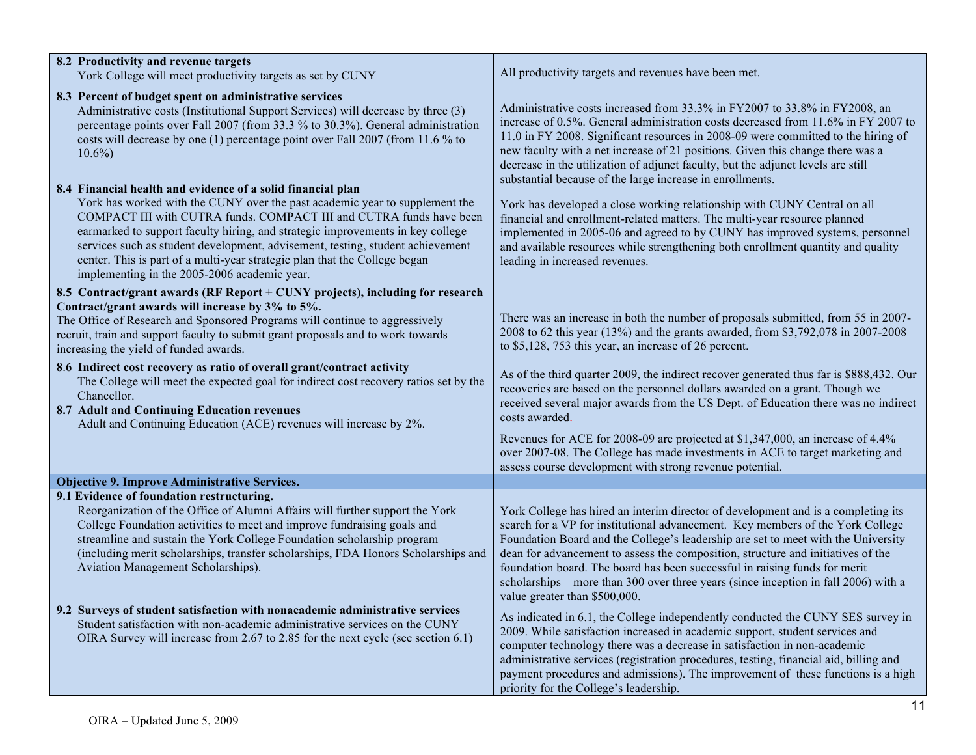| 8.2 Productivity and revenue targets                                                                                                                                                                                                                                                                                                                                                                                                                 | All productivity targets and revenues have been met.                                                                                                                                                                                                                                                                                                                                                                                                                                                                                               |
|------------------------------------------------------------------------------------------------------------------------------------------------------------------------------------------------------------------------------------------------------------------------------------------------------------------------------------------------------------------------------------------------------------------------------------------------------|----------------------------------------------------------------------------------------------------------------------------------------------------------------------------------------------------------------------------------------------------------------------------------------------------------------------------------------------------------------------------------------------------------------------------------------------------------------------------------------------------------------------------------------------------|
| York College will meet productivity targets as set by CUNY                                                                                                                                                                                                                                                                                                                                                                                           |                                                                                                                                                                                                                                                                                                                                                                                                                                                                                                                                                    |
| 8.3 Percent of budget spent on administrative services<br>Administrative costs (Institutional Support Services) will decrease by three (3)<br>percentage points over Fall 2007 (from 33.3 % to 30.3%). General administration<br>costs will decrease by one (1) percentage point over Fall 2007 (from 11.6 % to<br>$10.6\%$                                                                                                                          | Administrative costs increased from 33.3% in FY2007 to 33.8% in FY2008, an<br>increase of 0.5%. General administration costs decreased from 11.6% in FY 2007 to<br>11.0 in FY 2008. Significant resources in 2008-09 were committed to the hiring of<br>new faculty with a net increase of 21 positions. Given this change there was a<br>decrease in the utilization of adjunct faculty, but the adjunct levels are still<br>substantial because of the large increase in enrollments.                                                            |
| 8.4 Financial health and evidence of a solid financial plan                                                                                                                                                                                                                                                                                                                                                                                          |                                                                                                                                                                                                                                                                                                                                                                                                                                                                                                                                                    |
| York has worked with the CUNY over the past academic year to supplement the<br>COMPACT III with CUTRA funds. COMPACT III and CUTRA funds have been<br>earmarked to support faculty hiring, and strategic improvements in key college<br>services such as student development, advisement, testing, student achievement<br>center. This is part of a multi-year strategic plan that the College began<br>implementing in the 2005-2006 academic year. | York has developed a close working relationship with CUNY Central on all<br>financial and enrollment-related matters. The multi-year resource planned<br>implemented in 2005-06 and agreed to by CUNY has improved systems, personnel<br>and available resources while strengthening both enrollment quantity and quality<br>leading in increased revenues.                                                                                                                                                                                        |
| 8.5 Contract/grant awards (RF Report + CUNY projects), including for research                                                                                                                                                                                                                                                                                                                                                                        |                                                                                                                                                                                                                                                                                                                                                                                                                                                                                                                                                    |
| Contract/grant awards will increase by 3% to 5%.<br>The Office of Research and Sponsored Programs will continue to aggressively<br>recruit, train and support faculty to submit grant proposals and to work towards<br>increasing the yield of funded awards.                                                                                                                                                                                        | There was an increase in both the number of proposals submitted, from 55 in 2007-<br>2008 to 62 this year (13%) and the grants awarded, from \$3,792,078 in 2007-2008<br>to \$5,128, 753 this year, an increase of 26 percent.                                                                                                                                                                                                                                                                                                                     |
| 8.6 Indirect cost recovery as ratio of overall grant/contract activity<br>The College will meet the expected goal for indirect cost recovery ratios set by the<br>Chancellor.<br>8.7 Adult and Continuing Education revenues<br>Adult and Continuing Education (ACE) revenues will increase by 2%.                                                                                                                                                   | As of the third quarter 2009, the indirect recover generated thus far is \$888,432. Our<br>recoveries are based on the personnel dollars awarded on a grant. Though we<br>received several major awards from the US Dept. of Education there was no indirect<br>costs awarded.                                                                                                                                                                                                                                                                     |
|                                                                                                                                                                                                                                                                                                                                                                                                                                                      | Revenues for ACE for 2008-09 are projected at \$1,347,000, an increase of 4.4%<br>over 2007-08. The College has made investments in ACE to target marketing and<br>assess course development with strong revenue potential.                                                                                                                                                                                                                                                                                                                        |
| Objective 9. Improve Administrative Services.                                                                                                                                                                                                                                                                                                                                                                                                        |                                                                                                                                                                                                                                                                                                                                                                                                                                                                                                                                                    |
| 9.1 Evidence of foundation restructuring.<br>Reorganization of the Office of Alumni Affairs will further support the York<br>College Foundation activities to meet and improve fundraising goals and<br>streamline and sustain the York College Foundation scholarship program<br>(including merit scholarships, transfer scholarships, FDA Honors Scholarships and<br>Aviation Management Scholarships).                                            | York College has hired an interim director of development and is a completing its<br>search for a VP for institutional advancement. Key members of the York College<br>Foundation Board and the College's leadership are set to meet with the University<br>dean for advancement to assess the composition, structure and initiatives of the<br>foundation board. The board has been successful in raising funds for merit<br>scholarships - more than 300 over three years (since inception in fall 2006) with a<br>value greater than \$500,000. |
| 9.2 Surveys of student satisfaction with nonacademic administrative services<br>Student satisfaction with non-academic administrative services on the CUNY<br>OIRA Survey will increase from 2.67 to 2.85 for the next cycle (see section 6.1)                                                                                                                                                                                                       | As indicated in 6.1, the College independently conducted the CUNY SES survey in<br>2009. While satisfaction increased in academic support, student services and<br>computer technology there was a decrease in satisfaction in non-academic<br>administrative services (registration procedures, testing, financial aid, billing and<br>payment procedures and admissions). The improvement of these functions is a high<br>priority for the College's leadership.                                                                                 |